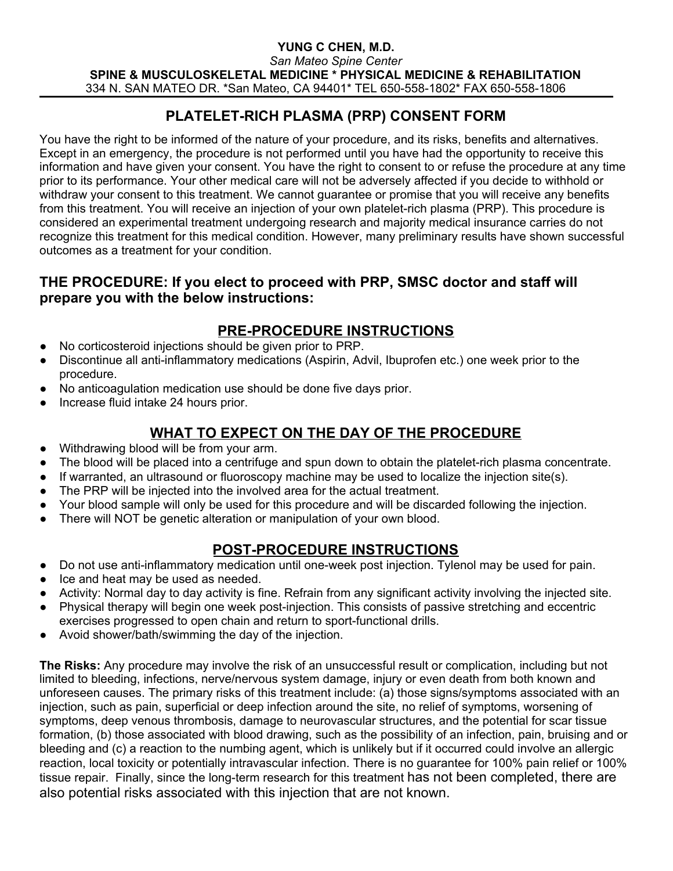#### **YUNG C CHEN, M.D.** *San Mateo Spine Center* **SPINE & MUSCULOSKELETAL MEDICINE \* PHYSICAL MEDICINE & REHABILITATION** 334 N. SAN MATEO DR. \*San Mateo, CA 94401\* TEL 650-558-1802\* FAX 650-558-1806

# **PLATELET-RICH PLASMA (PRP) CONSENT FORM**

You have the right to be informed of the nature of your procedure, and its risks, benefits and alternatives. Except in an emergency, the procedure is not performed until you have had the opportunity to receive this information and have given your consent. You have the right to consent to or refuse the procedure at any time prior to its performance. Your other medical care will not be adversely affected if you decide to withhold or withdraw your consent to this treatment. We cannot guarantee or promise that you will receive any benefits from this treatment. You will receive an injection of your own platelet-rich plasma (PRP). This procedure is considered an experimental treatment undergoing research and majority medical insurance carries do not recognize this treatment for this medical condition. However, many preliminary results have shown successful outcomes as a treatment for your condition.

### **THE PROCEDURE: If you elect to proceed with PRP, SMSC doctor and staff will prepare you with the below instructions:**

# **PRE-PROCEDURE INSTRUCTIONS**

- No corticosteroid injections should be given prior to PRP.
- Discontinue all anti-inflammatory medications (Aspirin, Advil, Ibuprofen etc.) one week prior to the procedure.
- No anticoagulation medication use should be done five days prior.
- Increase fluid intake 24 hours prior.

### **WHAT TO EXPECT ON THE DAY OF THE PROCEDURE**

- Withdrawing blood will be from your arm.
- The blood will be placed into a centrifuge and spun down to obtain the platelet-rich plasma concentrate.
- $\bullet$  If warranted, an ultrasound or fluoroscopy machine may be used to localize the injection site(s).
- The PRP will be injected into the involved area for the actual treatment.
- Your blood sample will only be used for this procedure and will be discarded following the injection.
- There will NOT be genetic alteration or manipulation of your own blood.

#### **POST-PROCEDURE INSTRUCTIONS**

- Do not use anti-inflammatory medication until one-week post injection. Tylenol may be used for pain.
- Ice and heat may be used as needed.
- Activity: Normal day to day activity is fine. Refrain from any significant activity involving the injected site.
- Physical therapy will begin one week post-injection. This consists of passive stretching and eccentric exercises progressed to open chain and return to sport-functional drills.
- Avoid shower/bath/swimming the day of the injection.

**The Risks:** Any procedure may involve the risk of an unsuccessful result or complication, including but not limited to bleeding, infections, nerve/nervous system damage, injury or even death from both known and unforeseen causes. The primary risks of this treatment include: (a) those signs/symptoms associated with an injection, such as pain, superficial or deep infection around the site, no relief of symptoms, worsening of symptoms, deep venous thrombosis, damage to neurovascular structures, and the potential for scar tissue formation, (b) those associated with blood drawing, such as the possibility of an infection, pain, bruising and or bleeding and (c) a reaction to the numbing agent, which is unlikely but if it occurred could involve an allergic reaction, local toxicity or potentially intravascular infection. There is no guarantee for 100% pain relief or 100% tissue repair. Finally, since the long-term research for this treatment has not been completed, there are also potential risks associated with this injection that are not known.